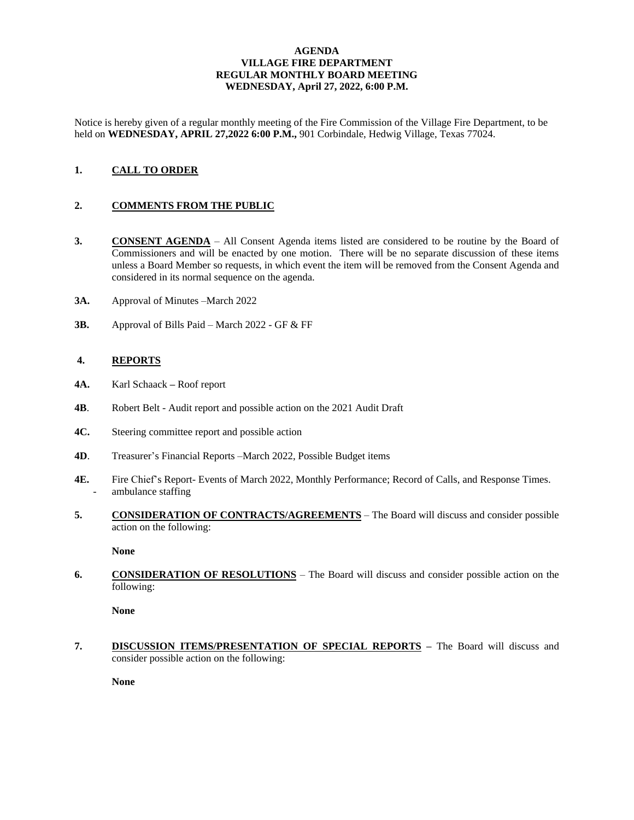### **AGENDA VILLAGE FIRE DEPARTMENT REGULAR MONTHLY BOARD MEETING WEDNESDAY, April 27, 2022, 6:00 P.M.**

Notice is hereby given of a regular monthly meeting of the Fire Commission of the Village Fire Department, to be held on **WEDNESDAY, APRIL 27,2022 6:00 P.M.,** 901 Corbindale, Hedwig Village, Texas 77024.

# **1. CALL TO ORDER**

## **2. COMMENTS FROM THE PUBLIC**

- **3. CONSENT AGENDA** All Consent Agenda items listed are considered to be routine by the Board of Commissioners and will be enacted by one motion. There will be no separate discussion of these items unless a Board Member so requests, in which event the item will be removed from the Consent Agenda and considered in its normal sequence on the agenda.
- **3A.** Approval of Minutes –March 2022
- **3B.** Approval of Bills Paid March 2022 GF & FF

#### **4. REPORTS**

- **4A.** Karl Schaack **–** Roof report
- **4B**. Robert Belt Audit report and possible action on the 2021 Audit Draft
- **4C.** Steering committee report and possible action
- **4D**. Treasurer's Financial Reports –March 2022, Possible Budget items
- **4E.** Fire Chief's Report- Events of March 2022, Monthly Performance; Record of Calls, and Response Times. ambulance staffing
- **5. CONSIDERATION OF CONTRACTS/AGREEMENTS** The Board will discuss and consider possible action on the following:

**None** 

**6. CONSIDERATION OF RESOLUTIONS** – The Board will discuss and consider possible action on the following:

**None**

**7. DISCUSSION ITEMS/PRESENTATION OF SPECIAL REPORTS –** The Board will discuss and consider possible action on the following:

**None**